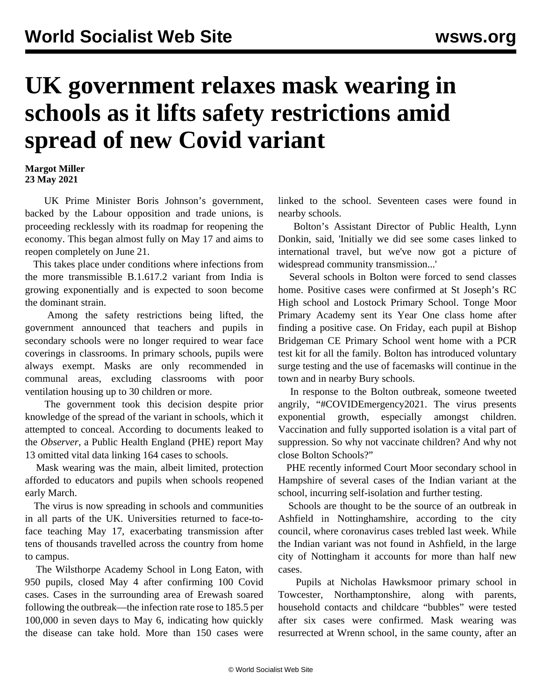## **UK government relaxes mask wearing in schools as it lifts safety restrictions amid spread of new Covid variant**

**Margot Miller 23 May 2021**

 UK Prime Minister Boris Johnson's government, backed by the Labour opposition and trade unions, is proceeding recklessly with its roadmap for reopening the economy. This began almost fully on May 17 and aims to reopen completely on June 21.

 This takes place under conditions where infections from the more transmissible B.1.617.2 variant from India is growing exponentially and is expected to soon become the dominant strain.

 Among the safety restrictions being lifted, the government announced that teachers and pupils in secondary schools were no longer required to wear face coverings in classrooms. In primary schools, pupils were always exempt. Masks are only recommended in communal areas, excluding classrooms with poor ventilation housing up to 30 children or more.

 The government took this decision despite prior knowledge of the spread of the variant in schools, which it attempted to conceal. According to documents leaked to the *Observer,* a Public Health England (PHE) report May 13 omitted vital data linking 164 cases to schools.

 Mask wearing was the main, albeit limited, protection afforded to educators and pupils when schools reopened early March.

 The virus is now spreading in schools and communities in all parts of the UK. Universities returned to face-toface teaching May 17, exacerbating transmission after tens of thousands travelled across the country from home to campus.

 The Wilsthorpe Academy School in Long Eaton, with 950 pupils, closed May 4 after confirming 100 Covid cases. Cases in the surrounding area of Erewash soared following the outbreak—the infection rate rose to 185.5 per 100,000 in seven days to May 6, indicating how quickly the disease can take hold. More than 150 cases were

linked to the school. Seventeen cases were found in nearby schools.

 Bolton's Assistant Director of Public Health, Lynn Donkin, said, 'Initially we did see some cases linked to international travel, but we've now got a picture of widespread community transmission...'

 Several schools in Bolton were forced to send classes home. Positive cases were confirmed at St Joseph's RC High school and Lostock Primary School. Tonge Moor Primary Academy sent its Year One class home after finding a positive case. On Friday, each pupil at Bishop Bridgeman CE Primary School went home with a PCR test kit for all the family. Bolton has introduced voluntary surge testing and the use of facemasks will continue in the town and in nearby Bury schools.

 In response to the Bolton outbreak, someone tweeted angrily, "#COVIDEmergency2021. The virus presents exponential growth, especially amongst children. Vaccination and fully supported isolation is a vital part of suppression. So why not vaccinate children? And why not close Bolton Schools?"

 PHE recently informed Court Moor secondary school in Hampshire of several cases of the Indian variant at the school, incurring self-isolation and further testing.

 Schools are thought to be the source of an outbreak in Ashfield in Nottinghamshire, according to the city council, where coronavirus cases trebled last week. While the Indian variant was not found in Ashfield, in the large city of Nottingham it accounts for more than half new cases.

 Pupils at Nicholas Hawksmoor primary school in Towcester, Northamptonshire, along with parents, household contacts and childcare "bubbles" were tested after six cases were confirmed. Mask wearing was resurrected at Wrenn school, in the same county, after an